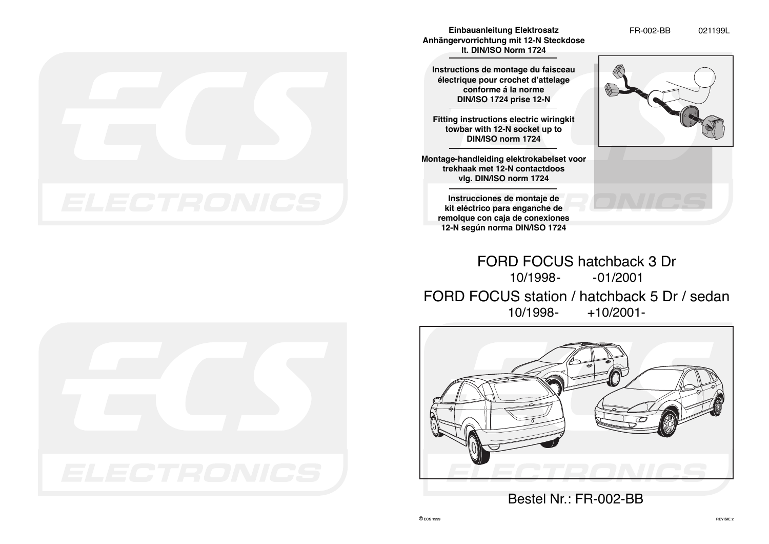

**lt. DIN/ISO Norm 1724**

**Instructions de montage du faisceau électrique pour crochet d'attelage conforme á la norme DIN/ISO 1724 prise 12-N**

**Fitting instructions electric wiringkit towbar with 12-N socket up to DIN/ISO norm 1724**

**Montage-handleiding elektrokabelset voor trekhaak met 12-N contactdoos vlg. DIN/ISO norm 1724**

**Instrucciones de montaje de kit eléctrico para enganche de remolque con caja de conexiones 12-N según norma DIN/ISO 1724**



FORD FOCUS hatchback 3 Dr 10/1998- -01/2001 FORD FOCUS station / hatchback 5 Dr / sedan<br>+10/2001-<br>+10/2001- $+10/2001 -$ 



Bestel Nr.: FR-002-BB

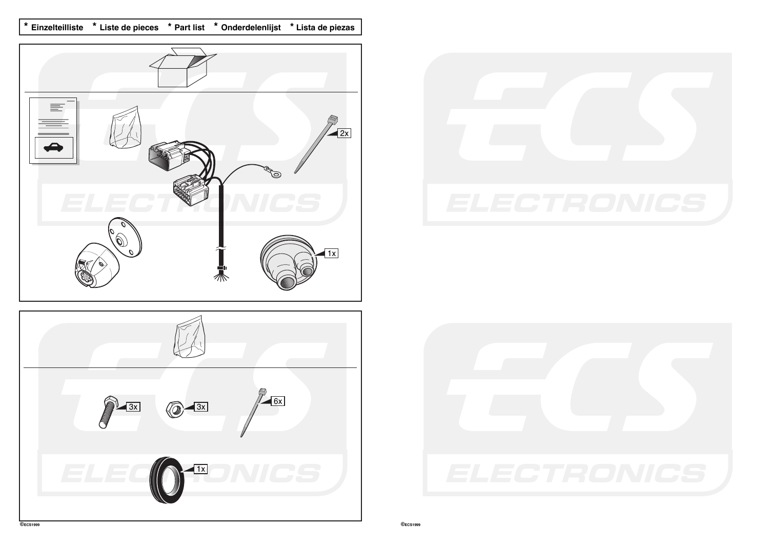**\* Einzelteilliste \* Liste de pieces \* Part list \* Onderdelenlijst \* Lista de piezas**







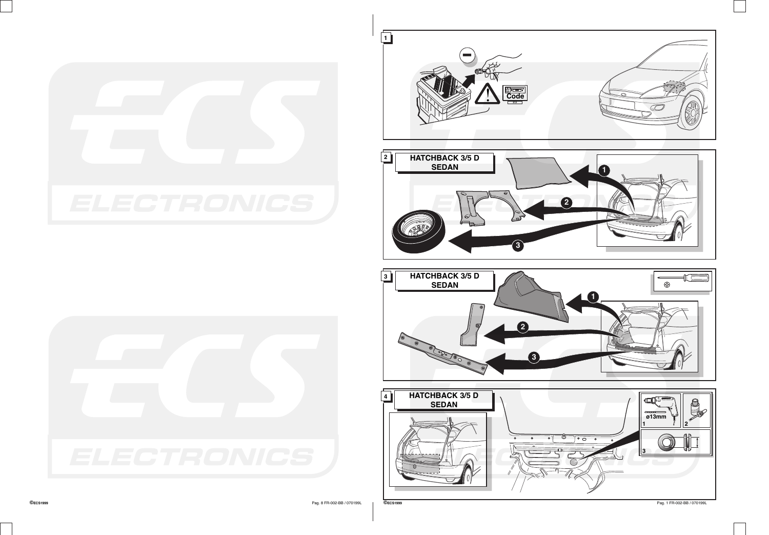



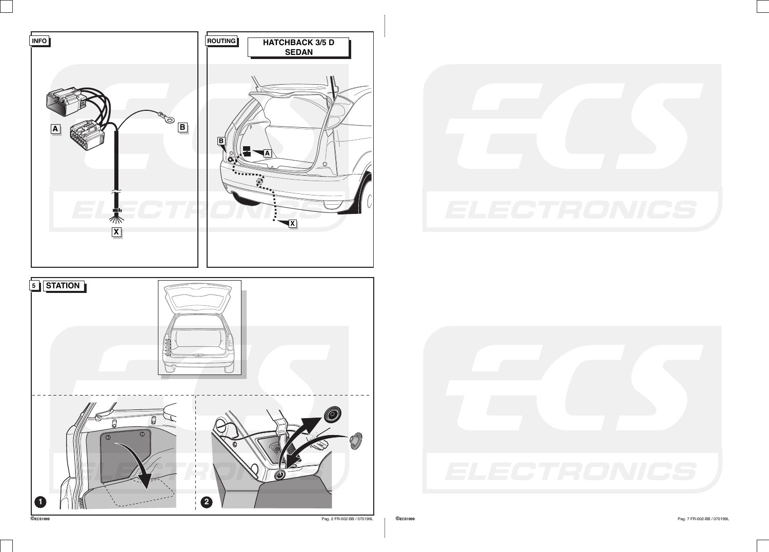





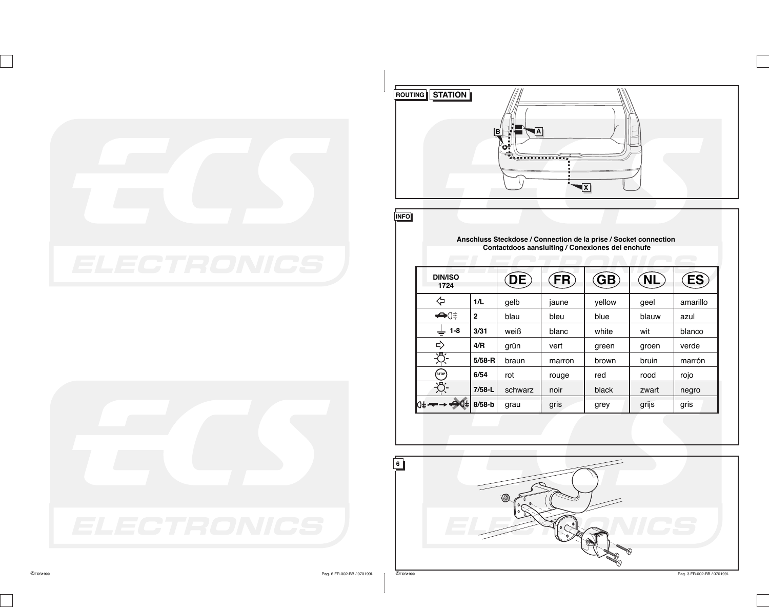





**INFO**

**Anschluss Steckdose / Connection de la prise / Socket connection Contactdoos aansluiting / Conexiones del enchufe**

| <b>DIN/ISO</b><br>1724 |                | DE,     | FR     | $\left($ GB $\right)$ | <u>NL</u> | ES       |
|------------------------|----------------|---------|--------|-----------------------|-----------|----------|
| ≃                      | 1/L            | qelb    | jaune  | vellow                | qeel      | amarillo |
| $\bigoplus$ $\oplus$   | $\overline{2}$ | blau    | bleu   | blue                  | blauw     | azul     |
| $1 - 8$<br>÷           | 3/31           | weiß    | blanc  | white                 | wit       | blanco   |
| ᠽ                      | 4/R            | grün    | vert   | green                 | groen     | verde    |
|                        | $5/58 - R$     | braun   | marron | brown                 | bruin     | marrón   |
| STOP                   | 6/54           | rot     | rouge  | red                   | rood      | rojo     |
|                        | $7/58 - L$     | schwarz | noir   | black                 | zwart     | negro    |
| ⊖Q≢l<br>∣⊙≢ ⊷          | $8/58-b$       | grau    | gris   | grey                  | grijs     | gris     |